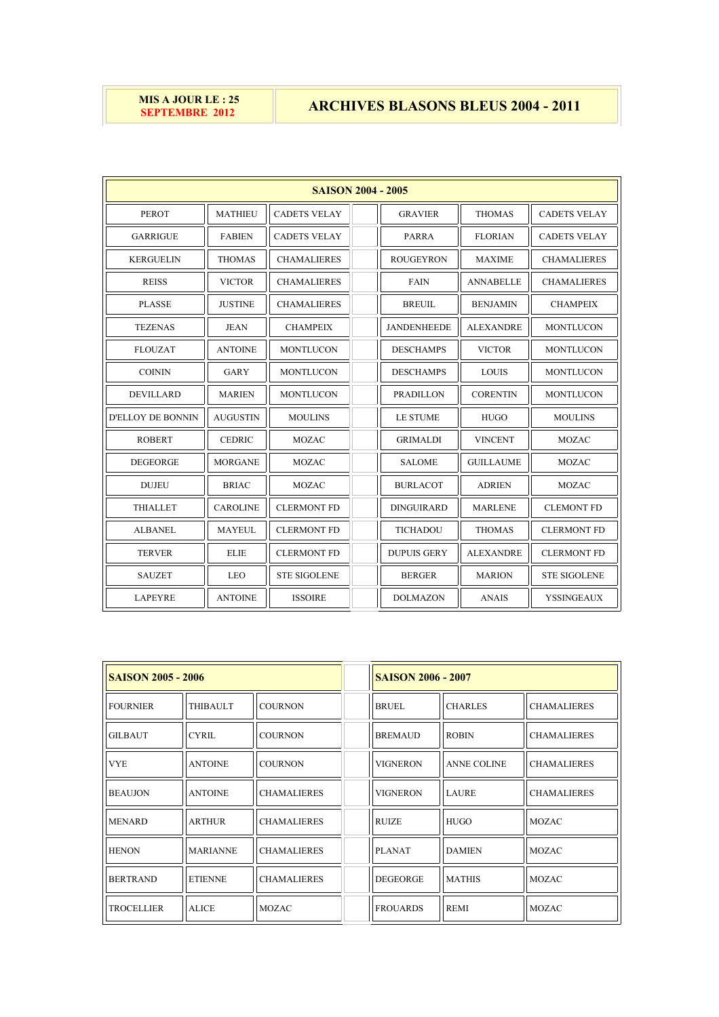## **MIS A JOUR LE : 25<br><b>SEPTEMBRE 2012**

## **ARCHIVES BLASONS BLEUS 2004 - 2011**

| <b>SAISON 2004 - 2005</b> |                 |                     |  |                    |                  |                     |  |
|---------------------------|-----------------|---------------------|--|--------------------|------------------|---------------------|--|
| <b>PEROT</b>              | <b>MATHIEU</b>  | <b>CADETS VELAY</b> |  | <b>GRAVIER</b>     | <b>THOMAS</b>    | <b>CADETS VELAY</b> |  |
| <b>GARRIGUE</b>           | <b>FABIEN</b>   | <b>CADETS VELAY</b> |  | <b>PARRA</b>       | <b>FLORIAN</b>   | <b>CADETS VELAY</b> |  |
| <b>KERGUELIN</b>          | <b>THOMAS</b>   | <b>CHAMALIERES</b>  |  | <b>ROUGEYRON</b>   | <b>MAXIME</b>    | <b>CHAMALIERES</b>  |  |
| <b>REISS</b>              | <b>VICTOR</b>   | <b>CHAMALIERES</b>  |  | <b>FAIN</b>        | <b>ANNABELLE</b> | <b>CHAMALIERES</b>  |  |
| <b>PLASSE</b>             | <b>JUSTINE</b>  | <b>CHAMALIERES</b>  |  | <b>BREUIL</b>      | <b>BENJAMIN</b>  | <b>CHAMPEIX</b>     |  |
| <b>TEZENAS</b>            | JEAN            | <b>CHAMPEIX</b>     |  | <b>JANDENHEEDE</b> | <b>ALEXANDRE</b> | <b>MONTLUCON</b>    |  |
| <b>FLOUZAT</b>            | <b>ANTOINE</b>  | <b>MONTLUCON</b>    |  | <b>DESCHAMPS</b>   | <b>VICTOR</b>    | <b>MONTLUCON</b>    |  |
| <b>COININ</b>             | <b>GARY</b>     | <b>MONTLUCON</b>    |  | <b>DESCHAMPS</b>   | <b>LOUIS</b>     | <b>MONTLUCON</b>    |  |
| <b>DEVILLARD</b>          | <b>MARIEN</b>   | <b>MONTLUCON</b>    |  | <b>PRADILLON</b>   | <b>CORENTIN</b>  | <b>MONTLUCON</b>    |  |
| <b>D'ELLOY DE BONNIN</b>  | <b>AUGUSTIN</b> | <b>MOULINS</b>      |  | <b>LE STUME</b>    | <b>HUGO</b>      | <b>MOULINS</b>      |  |
| <b>ROBERT</b>             | <b>CEDRIC</b>   | <b>MOZAC</b>        |  | <b>GRIMALDI</b>    | <b>VINCENT</b>   | <b>MOZAC</b>        |  |
| <b>DEGEORGE</b>           | <b>MORGANE</b>  | <b>MOZAC</b>        |  | <b>SALOME</b>      | <b>GUILLAUME</b> | <b>MOZAC</b>        |  |
| <b>DUJEU</b>              | <b>BRIAC</b>    | <b>MOZAC</b>        |  | <b>BURLACOT</b>    | <b>ADRIEN</b>    | <b>MOZAC</b>        |  |
| <b>THIALLET</b>           | <b>CAROLINE</b> | <b>CLERMONT FD</b>  |  | <b>DINGUIRARD</b>  | <b>MARLENE</b>   | <b>CLEMONT FD</b>   |  |
| <b>ALBANEL</b>            | <b>MAYEUL</b>   | <b>CLERMONT FD</b>  |  | <b>TICHADOU</b>    | <b>THOMAS</b>    | <b>CLERMONT FD</b>  |  |
| <b>TERVER</b>             | <b>ELIE</b>     | <b>CLERMONT FD</b>  |  | <b>DUPUIS GERY</b> | <b>ALEXANDRE</b> | <b>CLERMONT FD</b>  |  |
| <b>SAUZET</b>             | <b>LEO</b>      | <b>STE SIGOLENE</b> |  | <b>BERGER</b>      | <b>MARION</b>    | <b>STE SIGOLENE</b> |  |
| <b>LAPEYRE</b>            | <b>ANTOINE</b>  | <b>ISSOIRE</b>      |  | <b>DOLMAZON</b>    | <b>ANAIS</b>     | <b>YSSINGEAUX</b>   |  |

| <b>SAISON 2005 - 2006</b> |                 |                    | <b>SAISON 2006 - 2007</b> |                    |                    |  |
|---------------------------|-----------------|--------------------|---------------------------|--------------------|--------------------|--|
| <b>FOURNIER</b>           | THIBAULT        | <b>COURNON</b>     | <b>BRUEL</b>              | <b>CHARLES</b>     | <b>CHAMALIERES</b> |  |
| <b>GILBAUT</b>            | <b>CYRIL</b>    | <b>COURNON</b>     | <b>BREMAUD</b>            | <b>ROBIN</b>       | <b>CHAMALIERES</b> |  |
| <b>VYE</b>                | <b>ANTOINE</b>  | <b>COURNON</b>     | <b>VIGNERON</b>           | <b>ANNE COLINE</b> | <b>CHAMALIERES</b> |  |
| <b>BEAUJON</b>            | <b>ANTOINE</b>  | <b>CHAMALIERES</b> | <b>VIGNERON</b>           | <b>LAURE</b>       | <b>CHAMALIERES</b> |  |
| <b>MENARD</b>             | <b>ARTHUR</b>   | <b>CHAMALIERES</b> | <b>RUIZE</b>              | <b>HUGO</b>        | <b>MOZAC</b>       |  |
| <b>HENON</b>              | <b>MARIANNE</b> | <b>CHAMALIERES</b> | <b>PLANAT</b>             | <b>DAMIEN</b>      | <b>MOZAC</b>       |  |
| <b>BERTRAND</b>           | <b>ETIENNE</b>  | <b>CHAMALIERES</b> | <b>DEGEORGE</b>           | <b>MATHIS</b>      | <b>MOZAC</b>       |  |
| <b>TROCELLIER</b>         | <b>ALICE</b>    | <b>MOZAC</b>       | <b>FROUARDS</b>           | <b>REMI</b>        | <b>MOZAC</b>       |  |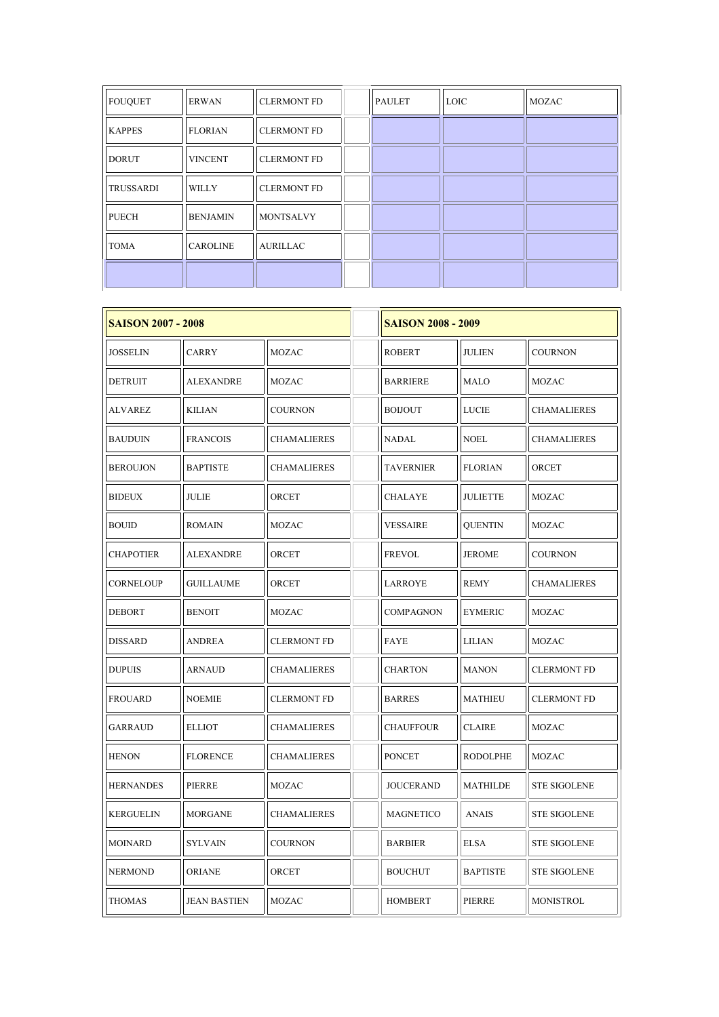| <b>FOUQUET</b>   | <b>ERWAN</b>    | <b>CLERMONT FD</b> | <b>PAULET</b> | <b>LOIC</b> | <b>MOZAC</b> |
|------------------|-----------------|--------------------|---------------|-------------|--------------|
| <b>KAPPES</b>    | <b>FLORIAN</b>  | <b>CLERMONT FD</b> |               |             |              |
| <b>DORUT</b>     | <b>VINCENT</b>  | <b>CLERMONT FD</b> |               |             |              |
| <b>TRUSSARDI</b> | <b>WILLY</b>    | <b>CLERMONT FD</b> |               |             |              |
| <b>PUECH</b>     | <b>BENJAMIN</b> | <b>MONTSALVY</b>   |               |             |              |
| <b>TOMA</b>      | <b>CAROLINE</b> | <b>AURILLAC</b>    |               |             |              |
|                  |                 |                    |               |             |              |

| <b>SAISON 2007 - 2008</b> |                     | <b>SAISON 2008 - 2009</b> |                  |                 |                     |
|---------------------------|---------------------|---------------------------|------------------|-----------------|---------------------|
| JOSSELIN                  | <b>CARRY</b>        | MOZAC                     | <b>ROBERT</b>    | <b>JULIEN</b>   | <b>COURNON</b>      |
| DETRUIT                   | ALEXANDRE           | MOZAC                     | <b>BARRIERE</b>  | <b>MALO</b>     | MOZAC               |
| ALVAREZ                   | KILIAN              | <b>COURNON</b>            | <b>BOIJOUT</b>   | <b>LUCIE</b>    | <b>CHAMALIERES</b>  |
| <b>BAUDUIN</b>            | <b>FRANCOIS</b>     | <b>CHAMALIERES</b>        | NADAL            | <b>NOEL</b>     | <b>CHAMALIERES</b>  |
| <b>BEROUJON</b>           | <b>BAPTISTE</b>     | <b>CHAMALIERES</b>        | <b>TAVERNIER</b> | <b>FLORIAN</b>  | ORCET               |
| <b>BIDEUX</b>             | <b>JULIE</b>        | ORCET                     | CHALAYE          | <b>JULIETTE</b> | <b>MOZAC</b>        |
| BOUID                     | <b>ROMAIN</b>       | MOZAC                     | VESSAIRE         | <b>QUENTIN</b>  | MOZAC               |
| <b>CHAPOTIER</b>          | <b>ALEXANDRE</b>    | ORCET                     | <b>FREVOL</b>    | <b>JEROME</b>   | <b>COURNON</b>      |
| <b>CORNELOUP</b>          | <b>GUILLAUME</b>    | ORCET                     | LARROYE          | <b>REMY</b>     | <b>CHAMALIERES</b>  |
| <b>DEBORT</b>             | <b>BENOIT</b>       | <b>MOZAC</b>              | COMPAGNON        | <b>EYMERIC</b>  | <b>MOZAC</b>        |
| DISSARD                   | ANDREA              | <b>CLERMONT FD</b>        | FAYE             | <b>LILIAN</b>   | MOZAC               |
| <b>DUPUIS</b>             | ARNAUD              | <b>CHAMALIERES</b>        | CHARTON          | <b>MANON</b>    | <b>CLERMONT FD</b>  |
| <b>FROUARD</b>            | <b>NOEMIE</b>       | <b>CLERMONT FD</b>        | <b>BARRES</b>    | <b>MATHIEU</b>  | <b>CLERMONT FD</b>  |
| <b>GARRAUD</b>            | <b>ELLIOT</b>       | <b>CHAMALIERES</b>        | <b>CHAUFFOUR</b> | <b>CLAIRE</b>   | <b>MOZAC</b>        |
| <b>HENON</b>              | <b>FLORENCE</b>     | <b>CHAMALIERES</b>        | <b>PONCET</b>    | <b>RODOLPHE</b> | MOZAC               |
| <b>HERNANDES</b>          | PIERRE              | MOZAC                     | JOUCERAND        | <b>MATHILDE</b> | <b>STE SIGOLENE</b> |
| <b>KERGUELIN</b>          | <b>MORGANE</b>      | <b>CHAMALIERES</b>        | <b>MAGNETICO</b> | <b>ANAIS</b>    | <b>STE SIGOLENE</b> |
| <b>MOINARD</b>            | SYLVAIN             | <b>COURNON</b>            | <b>BARBIER</b>   | <b>ELSA</b>     | <b>STE SIGOLENE</b> |
| <b>NERMOND</b>            | <b>ORIANE</b>       | ORCET                     | <b>BOUCHUT</b>   | <b>BAPTISTE</b> | <b>STE SIGOLENE</b> |
| THOMAS                    | <b>JEAN BASTIEN</b> | MOZAC                     | <b>HOMBERT</b>   | PIERRE          | MONISTROL           |